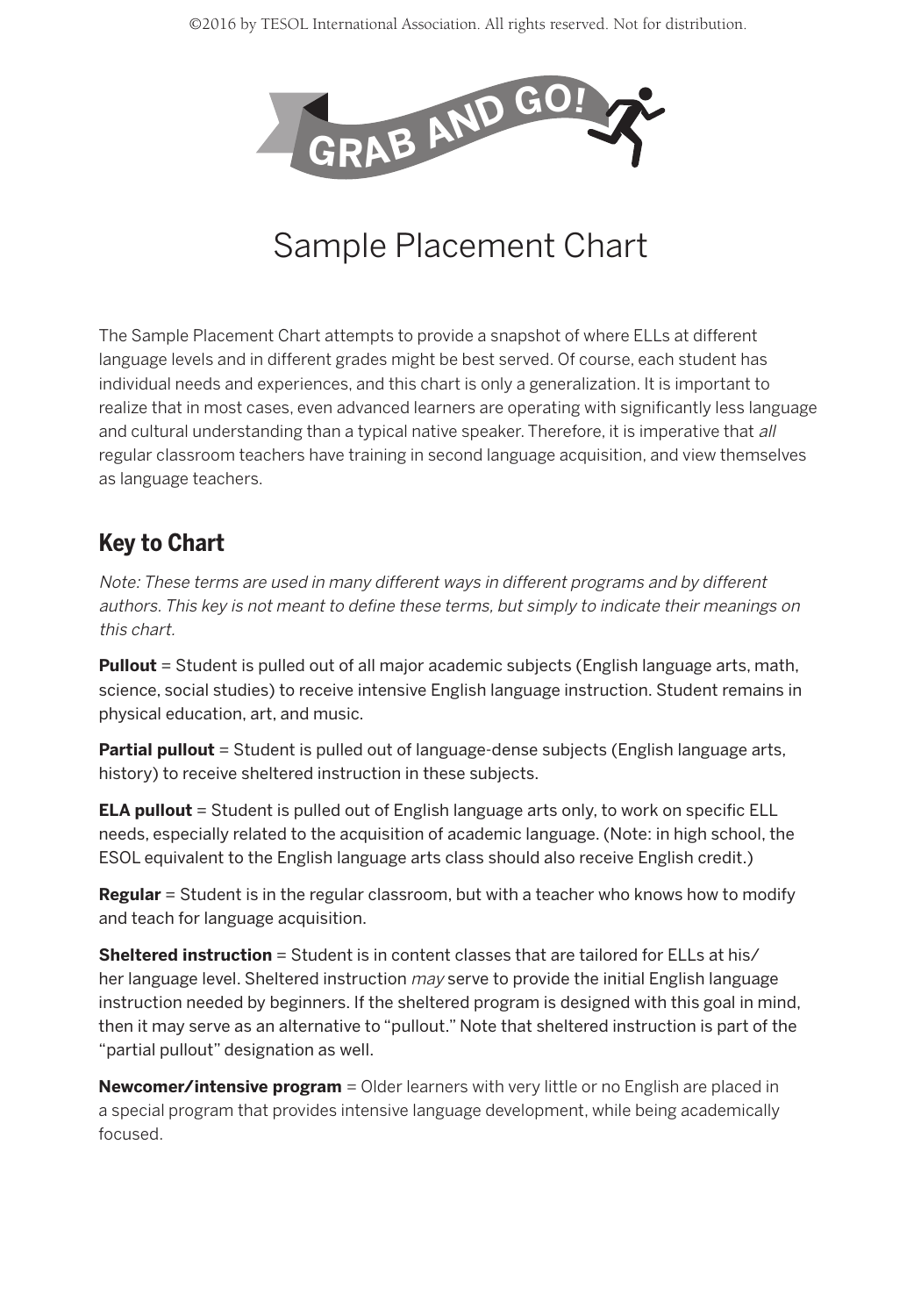

## Sample Placement Chart

The Sample Placement Chart attempts to provide a snapshot of where ELLs at different language levels and in different grades might be best served. Of course, each student has individual needs and experiences, and this chart is only a generalization. It is important to realize that in most cases, even advanced learners are operating with significantly less language and cultural understanding than a typical native speaker. Therefore, it is imperative that all regular classroom teachers have training in second language acquisition, and view themselves as language teachers.

## **Key to Chart**

Note: These terms are used in many different ways in different programs and by different authors. This key is not meant to define these terms, but simply to indicate their meanings on this chart.

**Pullout** = Student is pulled out of all major academic subjects (English language arts, math, science, social studies) to receive intensive English language instruction. Student remains in physical education, art, and music.

Partial pullout = Student is pulled out of language-dense subjects (English language arts, history) to receive sheltered instruction in these subjects.

**ELA pullout** = Student is pulled out of English language arts only, to work on specific ELL needs, especially related to the acquisition of academic language. (Note: in high school, the ESOL equivalent to the English language arts class should also receive English credit.)

**Regular** = Student is in the regular classroom, but with a teacher who knows how to modify and teach for language acquisition.

**Sheltered instruction** = Student is in content classes that are tailored for ELLs at his/ her language level. Sheltered instruction may serve to provide the initial English language instruction needed by beginners. If the sheltered program is designed with this goal in mind, then it may serve as an alternative to "pullout." Note that sheltered instruction is part of the "partial pullout" designation as well.

**Newcomer/intensive program** = Older learners with very little or no English are placed in a special program that provides intensive language development, while being academically focused.